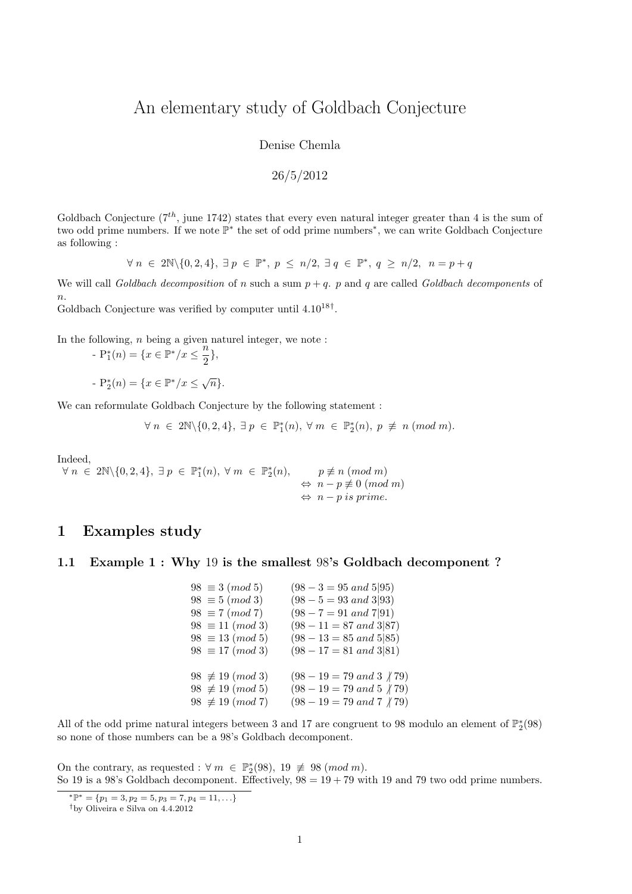# An elementary study of Goldbach Conjecture

Denise Chemla

$$
26/5/2012
$$

Goldbach Conjecture  $(7<sup>th</sup>$ , june 1742) states that every even natural integer greater than 4 is the sum of two odd prime numbers. If we note P ∗ the set of odd prime numbers<sup>∗</sup> , we can write Goldbach Conjecture as following :

 $\forall n \in 2\mathbb{N} \setminus \{0, 2, 4\}, \exists p \in \mathbb{P}^*, p \le n/2, \exists q \in \mathbb{P}^*, q \ge n/2, n = p + q$ 

We will call Goldbach decomposition of n such a sum  $p + q$ . p and q are called Goldbach decomponents of  $\overline{n}$ .

Goldbach Conjecture was verified by computer until  $4.10^{18\dagger}$ .

In the following,  $n$  being a given naturel integer, we note :

 $-P_1^*(n) = \{x \in \mathbb{P}^*/x \leq \frac{n}{2}\}$  $\frac{1}{2}$ ,

-  $P_2^*(n) = \{x \in \mathbb{P}^*/x \leq \sqrt{n}\}.$ 

We can reformulate Goldbach Conjecture by the following statement :

 $\forall n \in 2\mathbb{N}\setminus\{0,2,4\}, \exists p \in \mathbb{P}_{1}^{*}(n), \forall m \in \mathbb{P}_{2}^{*}(n), p \not\equiv n \ (mod\ m).$ 

Indeed,

 $\forall n \in 2\mathbb{N} \setminus \{0, 2, 4\}, \exists p \in \mathbb{P}_{1}^{*}(n), \forall m \in \mathbb{P}_{2}^{*}(n), \qquad p \not\equiv n \ (mod \ m)$  $\Leftrightarrow n - p \not\equiv 0 \pmod{m}$  $\Leftrightarrow$  n – p is prime.

# 1 Examples study

#### 1.1 Example 1 : Why 19 is the smallest 98's Goldbach decomponent ?

| $98 \equiv 3 \ (mod \ 5)$   | $(98-3=95 \text{ and } 5 95)$                     |
|-----------------------------|---------------------------------------------------|
| $98 \equiv 5 \ (mod \ 3)$   | $(98 - 5 = 93 \text{ and } 3 93)$                 |
| $98 \equiv 7 \ (mod \ 7)$   | $(98 - 7 = 91 \text{ and } 7 91)$                 |
| $98 \equiv 11 \pmod{3}$     | $(98 - 11 = 87 \text{ and } 3 87)$                |
| $98 \equiv 13 \ (mod \ 5)$  | $(98-13=85 \text{ and } 5 85)$                    |
| $98 \equiv 17 \ (mod 3)$    | $(98 - 17 = 81 \text{ and } 3 81)$                |
|                             |                                                   |
| $98 \not\equiv 19 \pmod{3}$ | $(98-19=79 \ and \ 3 \ \ n79)$                    |
| $98 \not\equiv 19 \pmod{5}$ | $(98-19=79 \ and \ 5 \not  79)$                   |
| $98 \not\equiv 19 \pmod{7}$ | $(98-19=79 \ and \ 7 \ \ \frac{\cancel{1}}{179})$ |
|                             |                                                   |

All of the odd prime natural integers between 3 and 17 are congruent to 98 modulo an element of  $\mathbb{P}_2^*(98)$ so none of those numbers can be a 98's Goldbach decomponent.

On the contrary, as requested :  $\forall m \in \mathbb{P}_2^*(98)$ ,  $19 \not\equiv 98 \pmod{m}$ . So 19 is a 98's Goldbach decomponent. Effectively,  $98 = 19 + 79$  with 19 and 79 two odd prime numbers.

<sup>\*</sup> $\mathbb{P}^* = \{p_1 = 3, p_2 = 5, p_3 = 7, p_4 = 11, \ldots\}$ 

<sup>†</sup>by Oliveira e Silva on 4.4.2012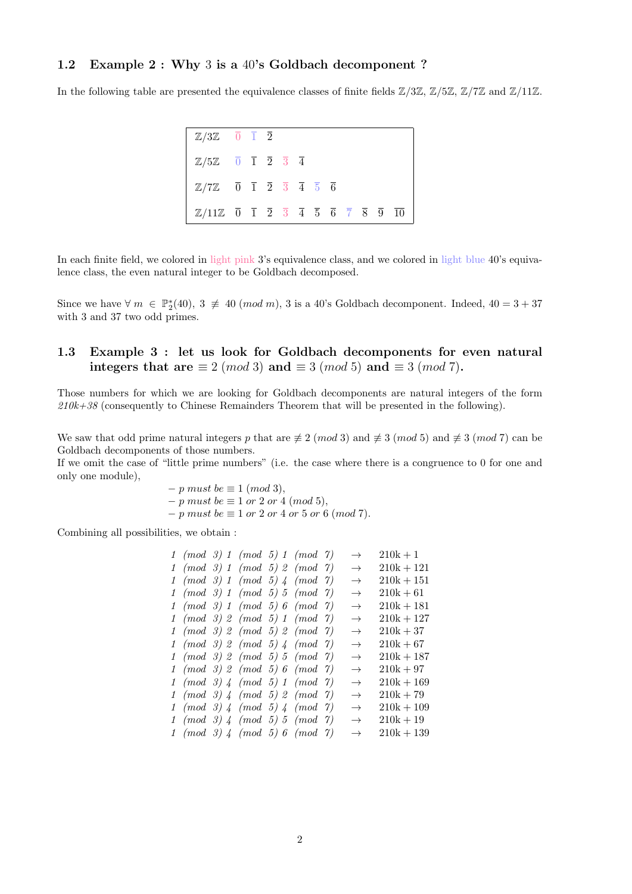### 1.2 Example 2 : Why 3 is a 40's Goldbach decomponent ?

In the following table are presented the equivalence classes of finite fields  $\mathbb{Z}/3\mathbb{Z}, \mathbb{Z}/5\mathbb{Z}, \mathbb{Z}/7\mathbb{Z}$  and  $\mathbb{Z}/11\mathbb{Z}$ .

| $\mathbb{Z}/3\mathbb{Z}$ $\overline{0}$ $\overline{1}$ $\overline{2}$                                                                                                                           |  |  |  |  |  |  |
|-------------------------------------------------------------------------------------------------------------------------------------------------------------------------------------------------|--|--|--|--|--|--|
| $\mathbb{Z}/5\mathbb{Z}$ $\overline{0}$ $\overline{1}$ $\overline{2}$ $\overline{3}$ $\overline{4}$                                                                                             |  |  |  |  |  |  |
| $\mathbb{Z}/7\mathbb{Z}$ $\overline{0}$ $\overline{1}$ $\overline{2}$ $\overline{3}$ $\overline{4}$ $\overline{5}$ $\overline{6}$                                                               |  |  |  |  |  |  |
| $\mathbb{Z}/11\mathbb{Z}$ $\overline{0}$ $\overline{1}$ $\overline{2}$ $\overline{3}$ $\overline{4}$ $\overline{5}$ $\overline{6}$ $\overline{7}$ $\overline{8}$ $\overline{9}$ $\overline{10}$ |  |  |  |  |  |  |

In each finite field, we colored in light pink 3's equivalence class, and we colored in light blue 40's equivalence class, the even natural integer to be Goldbach decomposed.

Since we have  $\forall m \in \mathbb{P}_2^*(40), 3 \not\equiv 40 \pmod{m}$ , 3 is a 40's Goldbach decomponent. Indeed,  $40 = 3 + 37$ with 3 and 37 two odd primes.

### 1.3 Example 3 : let us look for Goldbach decomponents for even natural integers that are  $\equiv 2 \pmod{3}$  and  $\equiv 3 \pmod{5}$  and  $\equiv 3 \pmod{7}$ .

Those numbers for which we are looking for Goldbach decomponents are natural integers of the form 210k+38 (consequently to Chinese Remainders Theorem that will be presented in the following).

We saw that odd prime natural integers p that are  $\neq 2 \pmod{3}$  and  $\neq 3 \pmod{5}$  and  $\neq 3 \pmod{7}$  can be Goldbach decomponents of those numbers.

If we omit the case of "little prime numbers" (i.e. the case where there is a congruence to 0 for one and only one module),

> $-p$  must be  $\equiv 1 \pmod{3}$ ,  $-p$  must be  $\equiv 1$  or 2 or 4 (mod 5),  $-p$  must be  $\equiv 1$  or 2 or 4 or 5 or 6 (mod 7).

Combining all possibilities, we obtain :

|  | $1 \pmod{3} 1 \pmod{5} 1 \pmod{7}$     |  | $\rightarrow$ | $210k + 1$   |
|--|----------------------------------------|--|---------------|--------------|
|  | $1 \pmod{3}$ $1 \pmod{5}$ $2 \pmod{7}$ |  | $\rightarrow$ | $210k + 121$ |
|  | $1 \pmod{3}$ $1 \pmod{5}$ $4 \pmod{7}$ |  | $\rightarrow$ | $210k + 151$ |
|  | $1 \pmod{3} 1 \pmod{5} 5 \pmod{7}$     |  | $\rightarrow$ | $210k + 61$  |
|  | $1 \pmod{3} 1 \pmod{5} 6 \pmod{7}$     |  | $\rightarrow$ | $210k + 181$ |
|  | $1 \pmod{3} 2 \pmod{5} 1 \pmod{7}$     |  | $\rightarrow$ | $210k + 127$ |
|  | $1 \pmod{3} 2 \pmod{5} 2 \pmod{7}$     |  | $\rightarrow$ | $210k + 37$  |
|  | $1 \pmod{3} 2 \pmod{5} 4 \pmod{7}$     |  | $\rightarrow$ | $210k + 67$  |
|  | $1 \pmod{3} 2 \pmod{5} 5 \pmod{7}$     |  | $\rightarrow$ | $210k + 187$ |
|  | $1 \pmod{3} 2 \pmod{5} 6 \pmod{7}$     |  | $\rightarrow$ | $210k + 97$  |
|  | $1 \pmod{3}$ 4 (mod 5) 1 (mod 7)       |  | $\rightarrow$ | $210k + 169$ |
|  | $1 \pmod{3}$ 4 (mod 5) 2 (mod 7)       |  | $\rightarrow$ | $210k + 79$  |
|  | $1 \pmod{3}$ 4 (mod 5) 4 (mod 7)       |  | $\rightarrow$ | $210k + 109$ |
|  | $1 \pmod{3}$ 4 (mod 5) 5 (mod 7)       |  | $\rightarrow$ | $210k + 19$  |
|  | $1 \pmod{3}$ 4 (mod 5) 6 (mod 7)       |  | $\rightarrow$ | $210k + 139$ |
|  |                                        |  |               |              |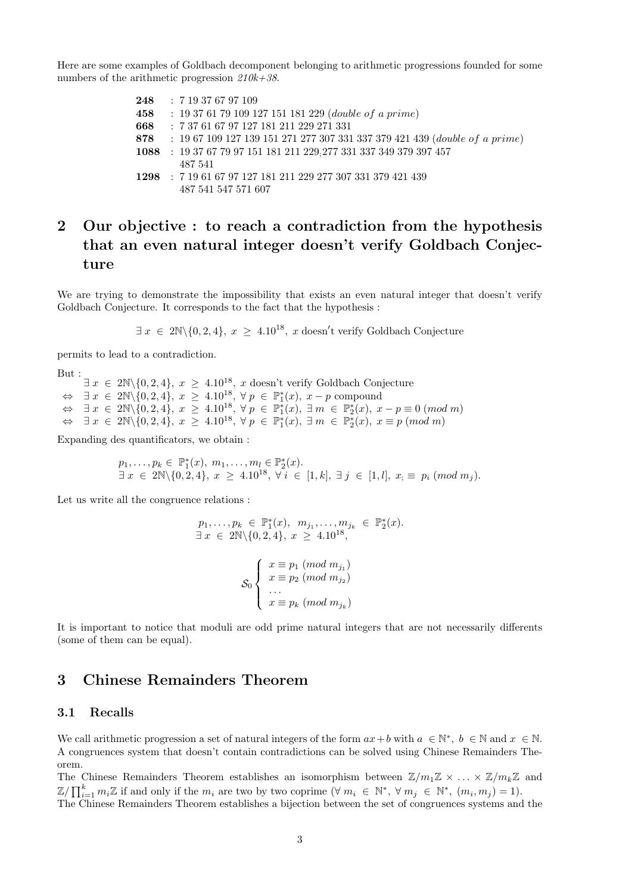Here are some examples of Goldbach decomponent belonging to arithmetic progressions founded for some numbers of the arithmetic progression  $210k+38$ .

> : 7 19 37 67 97 109 : 19 37 61 79 109 127 151 181 229 (double of a prime) : 7 37 61 67 97 127 181 211 229 271 331 : 19 67 109 127 139 151 271 277 307 331 337 379 421 439 (double of a prime) : 19 37 67 79 97 151 181 211 229;277 331 337 349 379 397 457 487 541 : 7 19 61 67 97 127 181 211 229 277 307 331 379 421 439 487 541 547 571 607

# 2 Our objective : to reach a contradiction from the hypothesis that an even natural integer doesn't verify Goldbach Conjecture

We are trying to demonstrate the impossibility that exists an even natural integer that doesn't verify Goldbach Conjecture. It corresponds to the fact that the hypothesis :

 $\exists x \in 2\mathbb{N} \setminus \{0, 2, 4\}, x \geq 4.10^{18}, x \text{ doesn't verify Goldbach Conjecture}$ 

permits to lead to a contradiction.

But :

 $\exists x \in 2\mathbb{N} \setminus \{0, 2, 4\}, x \geq 4.10^{18}, x$  doesn't verify Goldbach Conjecture  $\Leftrightarrow$   $\exists x \in 2\mathbb{N}\setminus\{0,2,4\}, x \geq 4.10^{18}, \forall p \in \mathbb{P}_{1}^{*}(x), x-p$  compound  $\Leftrightarrow \exists x \in 2\mathbb{N} \setminus \{0, 2, 4\}, x \geq 4.10^{18}, \forall p \in \mathbb{P}_{1}^{*}(x), \exists m \in \mathbb{P}_{2}^{*}(x), x-p \equiv 0 \ (mod\ m)$  $\Leftrightarrow \exists x \in 2\mathbb{N}\setminus\{0,2,4\}, x \geq 4.10^{18}, \forall p \in \mathbb{P}_{1}^{*}(x), \exists m \in \mathbb{P}_{2}^{*}(x), x \equiv p \ (mod\ m)$ 

Expanding des quantificators, we obtain :

$$
p_1, \ldots, p_k \in \mathbb{P}_1^*(x), \ m_1, \ldots, m_l \in \mathbb{P}_2^*(x).
$$
  

$$
\exists x \in 2\mathbb{N} \setminus \{0, 2, 4\}, \ x \geq 4.10^{18}, \ \forall i \in [1, k], \ \exists j \in [1, l], \ x_i \equiv p_i \ (mod \ m_j).
$$

Let us write all the congruence relations :

$$
p_1, \ldots, p_k \in \mathbb{P}_1^*(x), \ m_{j_1}, \ldots, m_{j_k} \in \mathbb{P}_2^*(x).
$$
  

$$
\exists x \in 2\mathbb{N} \setminus \{0, 2, 4\}, \ x \ge 4.10^{18},
$$
  

$$
\mathcal{S}_0 \begin{cases} x \equiv p_1 \ (mod \ m_{j_1}) \\ x \equiv p_2 \ (mod \ m_{j_2}) \\ \vdots \\ x \equiv p_k \ (mod \ m_{j_k}) \end{cases}
$$

It is important to notice that moduli are odd prime natural integers that are not necessarily differents (some of them can be equal).

# 3 Chinese Remainders Theorem

#### 3.1 Recalls

We call arithmetic progression a set of natural integers of the form  $ax + b$  with  $a \in \mathbb{N}^*$ ,  $b \in \mathbb{N}$  and  $x \in \mathbb{N}$ . A congruences system that doesn't contain contradictions can be solved using Chinese Remainders Theorem.

The Chinese Remainders Theorem establishes an isomorphism between  $\mathbb{Z}/m_1\mathbb{Z} \times \ldots \times \mathbb{Z}/m_k\mathbb{Z}$  and  $\mathbb{Z}/\prod_{i=1}^k m_i \mathbb{Z}$  if and only if the  $m_i$  are two by two coprime  $(\forall m_i \in \mathbb{N}^*, \forall m_j \in \mathbb{N}^*, (m_i, m_j) = 1)$ .

The Chinese Remainders Theorem establishes a bijection between the set of congruences systems and the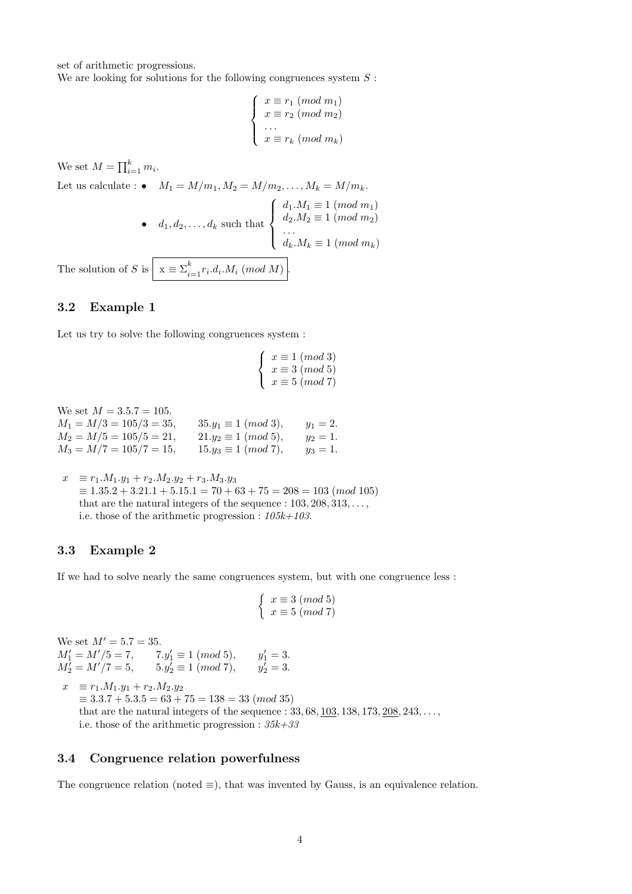set of arithmetic progressions.

We are looking for solutions for the following congruences system  $S$ :

$$
\begin{cases}\n x \equiv r_1 \pmod{m_1} \\
 x \equiv r_2 \pmod{m_2} \\
 \dots \\
 x \equiv r_k \pmod{m_k}\n\end{cases}
$$

We set  $M = \prod_{i=1}^{k} m_i$ .

Let us calculate :  $\bullet$   $M_1 = M/m_1, M_2 = M/m_2, ..., M_k = M/m_k.$ •  $d_1, d_2, \ldots, d_k$  such that  $\sqrt{ }$  $\int$  $\overline{\mathcal{L}}$  $d_1.M_1 \equiv 1 \pmod{m_1}$  $d_2.M_2 \equiv 1 \pmod{m_2}$ . . .  $d_k.M_k \equiv 1 \pmod{m_k}$ 

The solution of S is  $x \equiv \sum_{i=1}^{k} r_i \cdot d_i \cdot M_i \pmod{M}$ .

### 3.2 Example 1

Let us try to solve the following congruences system :

$$
\begin{cases}\n x \equiv 1 \pmod{3} \\
 x \equiv 3 \pmod{5} \\
 x \equiv 5 \pmod{7}\n\end{cases}
$$

We set  $M = 3.5.7 = 105$ .

| $M_1 = M/3 = 105/3 = 35,$ | $35.y_1 \equiv 1 \ (mod \ 3),$ | $y_1 = 2.$ |
|---------------------------|--------------------------------|------------|
| $M_2 = M/5 = 105/5 = 21,$ | $21.y_2 \equiv 1 \ (mod \ 5),$ | $y_2=1.$   |
| $M_3 = M/7 = 105/7 = 15,$ | $15.y_3 \equiv 1 \ (mod\ 7),$  | $y_3=1.$   |

 $x \equiv r_1.M_1.y_1 + r_2.M_2.y_2 + r_3.M_3.y_3$  $\equiv 1.35.2 + 3.21.1 + 5.15.1 = 70 + 63 + 75 = 208 = 103 \ (mod 105)$ that are the natural integers of the sequence :  $103, 208, 313, \ldots$ , i.e. those of the arithmetic progression :  $105k+103$ .

### 3.3 Example 2

If we had to solve nearly the same congruences system, but with one congruence less :

$$
\left\{\begin{array}{l}x\equiv 3\ (mod\ 5)\\x\equiv 5\ (mod\ 7)\end{array}\right.
$$

We set  $M' = 5.7 = 35$ .  $M'_1 = M'/5 = 7,$   $7.y'_1 \equiv 1 \pmod{5},$   $y'_1 = 3.$  $M'_2 = M'/7 = 5, \qquad 5.y'_2 \equiv 1 \ (mod \ 7), \qquad y'_2 = 3.$ 

 $x \equiv r_1.M_1.y_1 + r_2.M_2.y_2$  $\equiv 3.3.7 + 5.3.5 = 63 + 75 = 138 = 33 \ (mod \ 35)$ that are the natural integers of the sequence :  $33, 68, 103, 138, 173, 208, 243, \ldots$ i.e. those of the arithmetic progression :  $35k+33$ 

#### 3.4 Congruence relation powerfulness

The congruence relation (noted  $\equiv$ ), that was invented by Gauss, is an equivalence relation.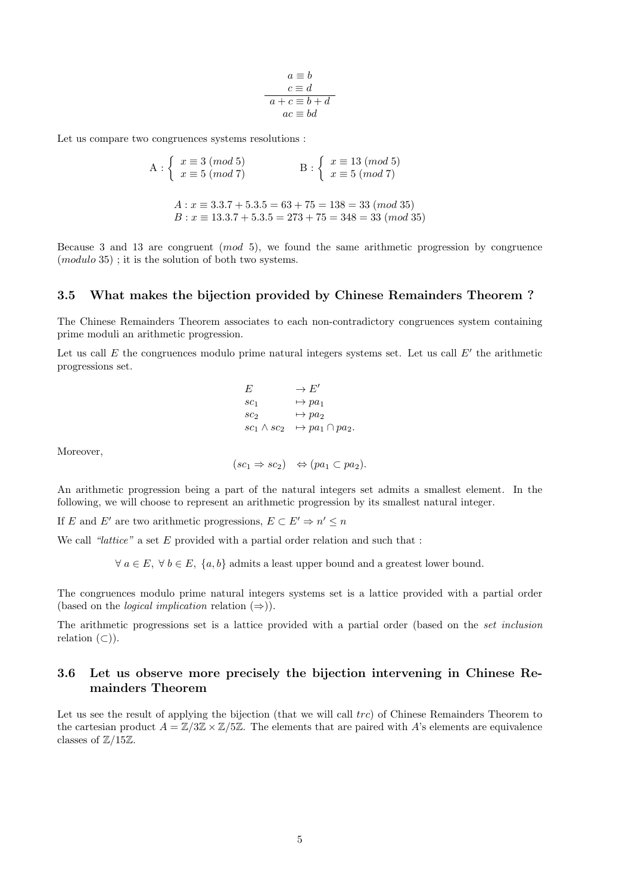$$
a \equiv b
$$
  

$$
c \equiv d
$$
  

$$
a + c \equiv b + d
$$
  

$$
ac \equiv bd
$$

Let us compare two congruences systems resolutions :

$$
A: \begin{cases} x \equiv 3 \pmod{5} \\ x \equiv 5 \pmod{7} \end{cases} \qquad B: \begin{cases} x \equiv 13 \pmod{5} \\ x \equiv 5 \pmod{7} \end{cases}
$$

$$
A: x \equiv 3.3.7 + 5.3.5 = 63 + 75 = 138 = 33 \pmod{35}
$$

$$
B: x \equiv 13.3.7 + 5.3.5 = 273 + 75 = 348 = 33 \pmod{35}
$$

Because 3 and 13 are congruent (mod 5), we found the same arithmetic progression by congruence (modulo 35) ; it is the solution of both two systems.

#### 3.5 What makes the bijection provided by Chinese Remainders Theorem ?

The Chinese Remainders Theorem associates to each non-contradictory congruences system containing prime moduli an arithmetic progression.

Let us call  $E$  the congruences modulo prime natural integers systems set. Let us call  $E'$  the arithmetic progressions set.

$$
E \rightarrow E'
$$
  
\n
$$
sc_1 \rightarrow pa_1
$$
  
\n
$$
sc_2 \rightarrow pa_2
$$
  
\n
$$
sc_1 \wedge sc_2 \rightarrow pa_1 \cap pa_2.
$$

Moreover,

$$
(sc_1 \Rightarrow sc_2) \Leftrightarrow (pa_1 \subset pa_2).
$$

An arithmetic progression being a part of the natural integers set admits a smallest element. In the following, we will choose to represent an arithmetic progression by its smallest natural integer.

If E and E' are two arithmetic progressions,  $E \subset E' \Rightarrow n' \leq n$ 

We call "lattice" a set  $E$  provided with a partial order relation and such that :

 $\forall a \in E, \forall b \in E, \{a, b\}$  admits a least upper bound and a greatest lower bound.

The congruences modulo prime natural integers systems set is a lattice provided with a partial order (based on the *logical implication* relation  $(\Rightarrow)$ ).

The arithmetic progressions set is a lattice provided with a partial order (based on the set inclusion relation  $(\subset)$ ).

### 3.6 Let us observe more precisely the bijection intervening in Chinese Remainders Theorem

Let us see the result of applying the bijection (that we will call trc) of Chinese Remainders Theorem to the cartesian product  $A = \mathbb{Z}/3\mathbb{Z} \times \mathbb{Z}/5\mathbb{Z}$ . The elements that are paired with A's elements are equivalence classes of  $\mathbb{Z}/15\mathbb{Z}$ .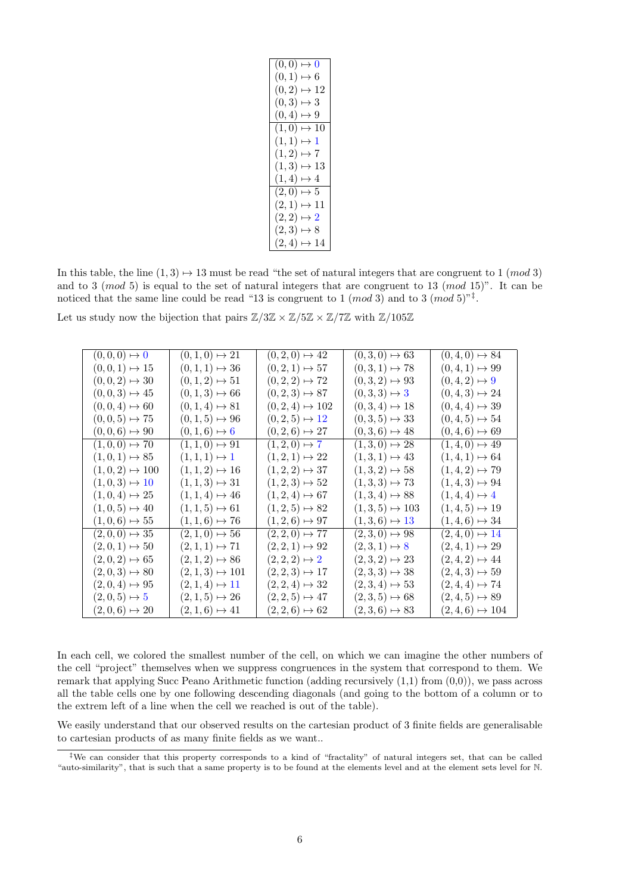| $\overline{(0,0)} \mapsto 0$  |
|-------------------------------|
| $(0,1) \mapsto 6$             |
| $(0,2) \mapsto 12$            |
| $(0,3) \mapsto 3$             |
| $(0,4) \mapsto 9$             |
| $\overline{(1,0)} \mapsto 10$ |
| $(1,1) \mapsto 1$             |
| $(1,2) \mapsto 7$             |
| $(1,3) \mapsto 13$            |
| $(1,4) \mapsto 4$             |
| $(2,0) \mapsto 5$             |
| $(2,1) \mapsto 11$            |
| $(2,2) \mapsto 2$             |
| $(2,3) \mapsto 8$             |
| $(2,4) \mapsto 14$            |

In this table, the line  $(1, 3) \rightarrow 13$  must be read "the set of natural integers that are congruent to 1 (mod 3) and to 3 (mod 5) is equal to the set of natural integers that are congruent to 13 (mod 15)". It can be noticed that the same line could be read "13 is congruent to 1 (*mod* 3) and to 3 (*mod* 5)"<sup>†</sup>.

Let us study now the bijection that pairs  $\mathbb{Z}/3\mathbb{Z} \times \mathbb{Z}/5\mathbb{Z} \times \mathbb{Z}/7\mathbb{Z}$  with  $\mathbb{Z}/105\mathbb{Z}$ 

| $(0,0,0) \mapsto 0$   | $(0,1,0) \mapsto 21$   | $(0,2,0) \mapsto 42$    | $(0,3,0) \mapsto 63$  | $(0,4,0) \mapsto 84$    |
|-----------------------|------------------------|-------------------------|-----------------------|-------------------------|
| $(0,0,1) \mapsto 15$  | $(0,1,1) \mapsto 36$   | $(0, 2, 1) \mapsto 57$  | $(0,3,1) \mapsto 78$  | $(0,4,1) \mapsto 99$    |
| $(0,0,2) \mapsto 30$  | $(0,1,2) \mapsto 51$   | $(0, 2, 2) \mapsto 72$  | $(0,3,2) \mapsto 93$  | $(0,4,2) \mapsto 9$     |
| $(0,0,3) \mapsto 45$  | $(0,1,3) \mapsto 66$   | $(0, 2, 3) \mapsto 87$  | $(0,3,3) \mapsto 3$   | $(0,4,3) \mapsto 24$    |
| $(0,0,4) \mapsto 60$  | $(0,1,4) \mapsto 81$   | $(0, 2, 4) \mapsto 102$ | $(0,3,4) \mapsto 18$  | $(0,4,4) \mapsto 39$    |
| $(0,0,5) \mapsto 75$  | $(0,1,5) \mapsto 96$   | $(0, 2, 5) \mapsto 12$  | $(0,3,5) \mapsto 33$  | $(0,4,5) \mapsto 54$    |
| $(0,0,6) \mapsto 90$  | $(0,1,6) \mapsto 6$    | $(0, 2, 6) \mapsto 27$  | $(0,3,6) \mapsto 48$  | $(0,4,6) \mapsto 69$    |
| $(1,0,0) \mapsto 70$  | $(1,1,0) \mapsto 91$   | $(1,2,0)\mapsto 7$      | $(1,3,0) \mapsto 28$  | $(1,4,0) \mapsto 49$    |
| $(1,0,1) \mapsto 85$  | $(1,1,1) \mapsto 1$    | $(1,2,1) \mapsto 22$    | $(1,3,1) \mapsto 43$  | $(1,4,1) \mapsto 64$    |
| $(1,0,2) \mapsto 100$ | $(1, 1, 2) \mapsto 16$ | $(1,2,2) \mapsto 37$    | $(1,3,2) \mapsto 58$  | $(1,4,2) \mapsto 79$    |
| $(1,0,3) \mapsto 10$  | $(1, 1, 3) \mapsto 31$ | $(1,2,3) \mapsto 52$    | $(1,3,3) \mapsto 73$  | $(1,4,3) \mapsto 94$    |
| $(1,0,4) \mapsto 25$  | $(1, 1, 4) \mapsto 46$ | $(1,2,4) \mapsto 67$    | $(1,3,4) \mapsto 88$  | $(1,4,4) \mapsto 4$     |
| $(1,0,5) \mapsto 40$  | $(1,1,5) \mapsto 61$   | $(1, 2, 5) \mapsto 82$  | $(1,3,5) \mapsto 103$ | $(1,4,5) \mapsto 19$    |
| $(1,0,6) \mapsto 55$  | $(1, 1, 6) \mapsto 76$ | $(1, 2, 6) \mapsto 97$  | $(1,3,6) \mapsto 13$  | $(1,4,6) \mapsto 34$    |
| $(2,0,0) \mapsto 35$  | $(2,1,0) \mapsto 56$   | $(2, 2, 0) \mapsto 77$  | $(2,3,0) \mapsto 98$  | $(2,4,0) \mapsto 14$    |
| $(2,0,1) \mapsto 50$  | $(2,1,1) \mapsto 71$   | $(2, 2, 1) \mapsto 92$  | $(2,3,1)\mapsto 8$    | $(2,4,1) \mapsto 29$    |
| $(2,0,2) \mapsto 65$  | $(2,1,2) \mapsto 86$   | $(2, 2, 2) \mapsto 2$   | $(2,3,2) \mapsto 23$  | $(2,4,2) \mapsto 44$    |
| $(2,0,3) \mapsto 80$  | $(2,1,3) \mapsto 101$  | $(2,2,3) \mapsto 17$    | $(2,3,3) \mapsto 38$  | $(2,4,3) \mapsto 59$    |
| $(2,0,4) \mapsto 95$  | $(2,1,4) \mapsto 11$   | $(2, 2, 4) \mapsto 32$  | $(2,3,4) \mapsto 53$  | $(2,4,4) \mapsto 74$    |
| $(2,0,5) \mapsto 5$   | $(2,1,5) \mapsto 26$   | $(2, 2, 5) \mapsto 47$  | $(2,3,5) \mapsto 68$  | $(2,4,5) \mapsto 89$    |
| $(2,0,6) \mapsto 20$  | $(2,1,6) \mapsto 41$   | $(2, 2, 6) \mapsto 62$  | $(2,3,6) \mapsto 83$  | $(2, 4, 6) \mapsto 104$ |

In each cell, we colored the smallest number of the cell, on which we can imagine the other numbers of the cell "project" themselves when we suppress congruences in the system that correspond to them. We remark that applying Succ Peano Arithmetic function (adding recursively  $(1,1)$  from  $(0,0)$ ), we pass across all the table cells one by one following descending diagonals (and going to the bottom of a column or to the extrem left of a line when the cell we reached is out of the table).

We easily understand that our observed results on the cartesian product of 3 finite fields are generalisable to cartesian products of as many finite fields as we want..

<sup>‡</sup>We can consider that this property corresponds to a kind of "fractality" of natural integers set, that can be called "auto-similarity", that is such that a same property is to be found at the elements level and at the element sets level for N.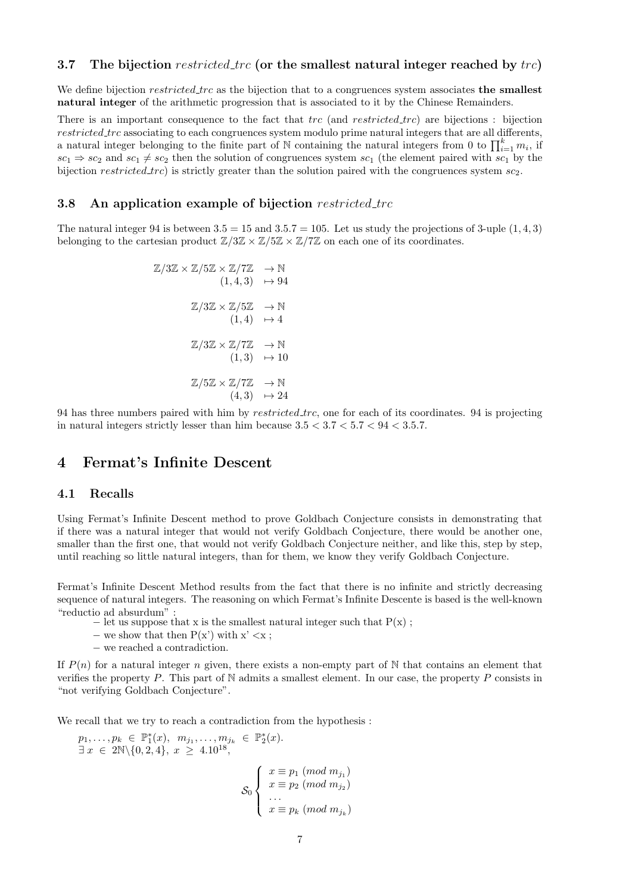We define bijection *restricted trc* as the bijection that to a congruences system associates **the smallest** natural integer of the arithmetic progression that is associated to it by the Chinese Remainders.

There is an important consequence to the fact that trc (and restricted trc) are bijections : bijection restricted trc associating to each congruences system modulo prime natural integers that are all differents, a natural integer belonging to the finite part of N containing the natural integers from 0 to  $\prod_{i=1}^{k} m_i$ , if  $sc_1 \Rightarrow sc_2$  and  $sc_1 \neq sc_2$  then the solution of congruences system  $sc_1$  (the element paired with  $sc_1$  by the bijection restricted trc) is strictly greater than the solution paired with the congruences system  $sc_2$ .

#### 3.8 An application example of bijection restricted\_trc

The natural integer 94 is between  $3.5 = 15$  and  $3.5.7 = 105$ . Let us study the projections of 3-uple  $(1, 4, 3)$ belonging to the cartesian product  $\mathbb{Z}/3\mathbb{Z} \times \mathbb{Z}/5\mathbb{Z} \times \mathbb{Z}/7\mathbb{Z}$  on each one of its coordinates.

$$
\mathbb{Z}/3\mathbb{Z} \times \mathbb{Z}/5\mathbb{Z} \times \mathbb{Z}/7\mathbb{Z} \longrightarrow \mathbb{N}
$$
  
\n
$$
(1,4,3) \longrightarrow 94
$$
  
\n
$$
\mathbb{Z}/3\mathbb{Z} \times \mathbb{Z}/5\mathbb{Z} \longrightarrow \mathbb{N}
$$
  
\n
$$
(1,4) \longrightarrow 4
$$
  
\n
$$
\mathbb{Z}/3\mathbb{Z} \times \mathbb{Z}/7\mathbb{Z} \longrightarrow \mathbb{N}
$$
  
\n
$$
(1,3) \longrightarrow 10
$$
  
\n
$$
\mathbb{Z}/5\mathbb{Z} \times \mathbb{Z}/7\mathbb{Z} \longrightarrow \mathbb{N}
$$
  
\n
$$
(4,3) \longrightarrow 24
$$

94 has three numbers paired with him by *restricted\_trc*, one for each of its coordinates. 94 is projecting in natural integers strictly lesser than him because  $3.5 < 3.7 < 5.7 < 94 < 3.5.7$ .

# 4 Fermat's Infinite Descent

#### 4.1 Recalls

Using Fermat's Infinite Descent method to prove Goldbach Conjecture consists in demonstrating that if there was a natural integer that would not verify Goldbach Conjecture, there would be another one, smaller than the first one, that would not verify Goldbach Conjecture neither, and like this, step by step, until reaching so little natural integers, than for them, we know they verify Goldbach Conjecture.

Fermat's Infinite Descent Method results from the fact that there is no infinite and strictly decreasing sequence of natural integers. The reasoning on which Fermat's Infinite Descente is based is the well-known "reductio ad absurdum" :

- $-$  let us suppose that x is the smallest natural integer such that  $P(x)$ ;
- $-$  we show that then  $P(x')$  with  $x' < x$ ;
- − we reached a contradiction.

If  $P(n)$  for a natural integer n given, there exists a non-empty part of N that contains an element that verifies the property  $P$ . This part of N admits a smallest element. In our case, the property  $P$  consists in "not verifying Goldbach Conjecture".

We recall that we try to reach a contradiction from the hypothesis :

$$
p_1, \ldots, p_k \in \mathbb{P}_1^*(x), \ m_{j_1}, \ldots, m_{j_k} \in \mathbb{P}_2^*(x).
$$
  

$$
\exists x \in 2\mathbb{N} \setminus \{0, 2, 4\}, \ x \ge 4.10^{18},
$$
  

$$
\mathcal{S}_0 \begin{cases} x \equiv p_1 \ (mod \ m_{j_1}) \\ x \equiv p_2 \ (mod \ m_{j_2}) \\ \vdots \\ x \equiv p_k \ (mod \ m_{j_k}) \end{cases}
$$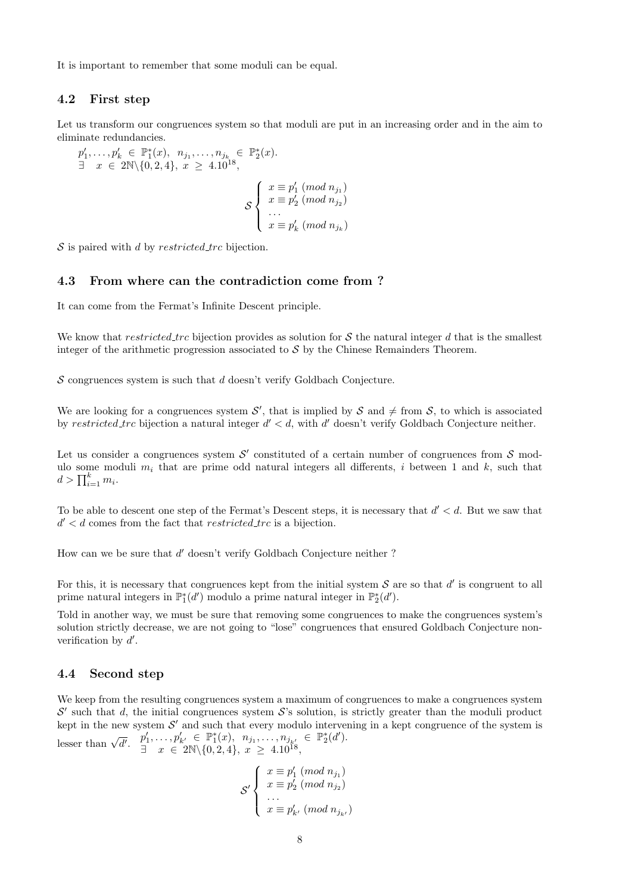It is important to remember that some moduli can be equal.

## 4.2 First step

Let us transform our congruences system so that moduli are put in an increasing order and in the aim to eliminate redundancies.

)

)

)

$$
p'_1, ..., p'_k \in \mathbb{P}_1^*(x), n_{j_1}, ..., n_{j_k} \in \mathbb{P}_2^*(x).
$$
  
\n $\exists x \in 2\mathbb{N} \setminus \{0, 2, 4\}, x \ge 4.10^{18},$   
\n $\mathcal{S}\begin{cases}\nx \equiv p'_1 \pmod{n_{j_1}} \\
x \equiv p'_2 \pmod{n_{j_2}} \\
... \\
x \equiv p'_k \pmod{n_{j_k}}\n\end{cases}$ 

 $S$  is paired with d by restricted trc bijection.

#### 4.3 From where can the contradiction come from ?

It can come from the Fermat's Infinite Descent principle.

We know that restricted trc bijection provides as solution for S the natural integer d that is the smallest integer of the arithmetic progression associated to  $S$  by the Chinese Remainders Theorem.

 $S$  congruences system is such that  $d$  doesn't verify Goldbach Conjecture.

We are looking for a congruences system  $\mathcal{S}'$ , that is implied by  $\mathcal{S}$  and  $\neq$  from  $\mathcal{S}$ , to which is associated by restricted trc bijection a natural integer  $d' < d$ , with d' doesn't verify Goldbach Conjecture neither.

Let us consider a congruences system  $\mathcal{S}'$  constituted of a certain number of congruences from  $\mathcal{S}$  modulo some moduli  $m_i$  that are prime odd natural integers all differents, i between 1 and k, such that  $d > \prod_{i=1}^k m_i.$ 

To be able to descent one step of the Fermat's Descent steps, it is necessary that  $d' < d$ . But we saw that  $d' < d$  comes from the fact that *restricted\_trc* is a bijection.

How can we be sure that  $d'$  doesn't verify Goldbach Conjecture neither ?

For this, it is necessary that congruences kept from the initial system  $S$  are so that  $d'$  is congruent to all prime natural integers in  $\mathbb{P}_1^*(d')$  modulo a prime natural integer in  $\mathbb{P}_2^*(d')$ .

Told in another way, we must be sure that removing some congruences to make the congruences system's solution strictly decrease, we are not going to "lose" congruences that ensured Goldbach Conjecture nonverification by  $d'$ .

#### 4.4 Second step

We keep from the resulting congruences system a maximum of congruences to make a congruences system  $\mathcal{S}'$  such that d, the initial congruences system  $\mathcal{S}'$ 's solution, is strictly greater than the moduli product kept in the new system  $\mathcal{S}'$  and such that every modulo intervening in a kept congruence of the system is lesser than  $\sqrt{d'}$ ,  $p'_1, \ldots, p'_{k'} \in \mathbb{P}^*_1(x), n_{j_1}, \ldots, n_{j_{k'}} \in \mathbb{P}^*_2(d').$  $\exists x \in 2\mathbb{N} \setminus \{0, 2, 4\}, x \geq 4.10^{18},$ 

$$
\mathcal{S}' \left\{ \begin{array}{l} x \equiv p'_1 \ (mod \ n_{j_1}) \\ x \equiv p'_2 \ (mod \ n_{j_2}) \\ \dots \\ x \equiv p'_{k'} \ (mod \ n_{j_{k'}}) \end{array} \right.
$$